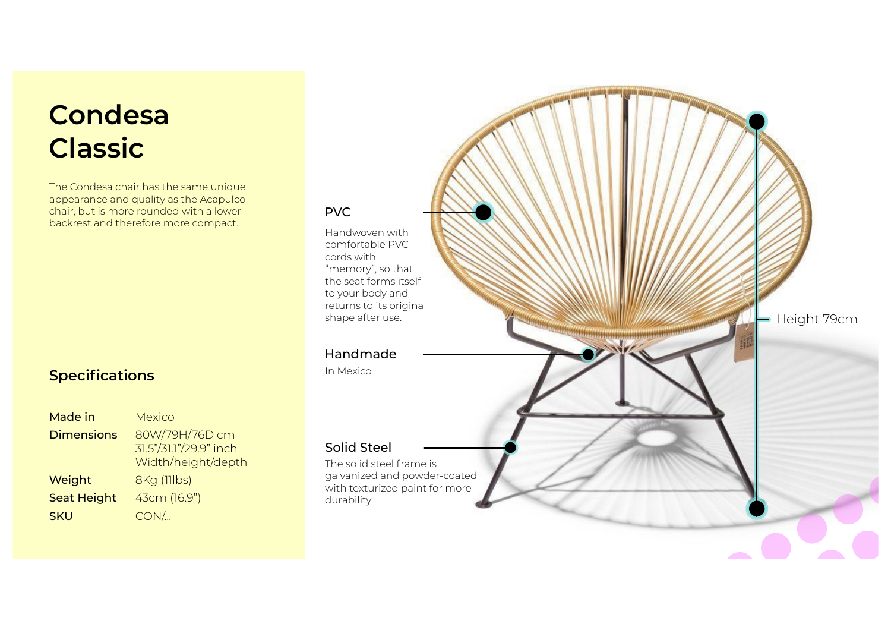# **Condesa Classi c**

The Condesa chair has the same unique appearance and quality as the Acapulco chair, but is more rounded with a lower backrest and therefore more compact.

## **Spec i fi c a t i o n s**

| Made in            | <b>Mexico</b>                                                  |
|--------------------|----------------------------------------------------------------|
| <b>Dimensions</b>  | 80W/79H/76D cm<br>31.5"/31.1"/29.9" inch<br>Width/height/depth |
| Weight             | <b>8Kg (11lbs)</b>                                             |
| <b>Seat Height</b> | 43cm (16.9")                                                   |
| <b>SKU</b>         | $CON/$                                                         |

### **PVC**

Handwoven with comfortable PVC cor d s w i th "memory", so that , the seat forms itself to your body and returns to its original shape after use .

#### H a n dmade

In M e x i c o

#### Solid Steel

The solid steel frame is galvanized and powder-coated with texturized paint for more durability .

Height 79cm